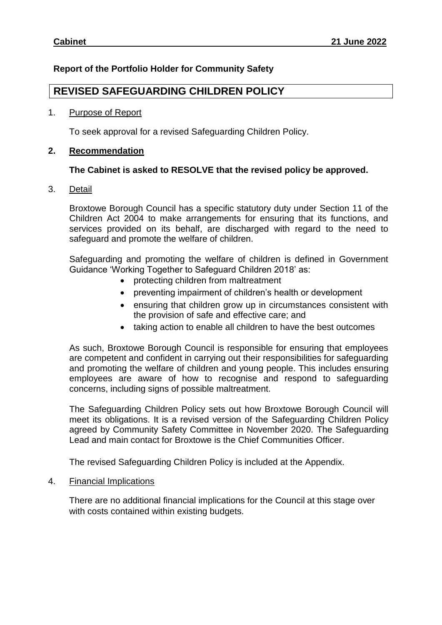## **Report of the Portfolio Holder for Community Safety**

# **REVISED SAFEGUARDING CHILDREN POLICY**

#### 1. Purpose of Report

To seek approval for a revised Safeguarding Children Policy.

### **2. Recommendation**

#### **The Cabinet is asked to RESOLVE that the revised policy be approved.**

3. Detail

Broxtowe Borough Council has a specific statutory duty under Section 11 of the Children Act 2004 to make arrangements for ensuring that its functions, and services provided on its behalf, are discharged with regard to the need to safeguard and promote the welfare of children.

Safeguarding and promoting the welfare of children is defined in Government Guidance 'Working Together to Safeguard Children 2018' as:

- protecting children from maltreatment
- preventing impairment of children's health or development
- ensuring that children grow up in circumstances consistent with the provision of safe and effective care; and
- taking action to enable all children to have the best outcomes

As such, Broxtowe Borough Council is responsible for ensuring that employees are competent and confident in carrying out their responsibilities for safeguarding and promoting the welfare of children and young people. This includes ensuring employees are aware of how to recognise and respond to safeguarding concerns, including signs of possible maltreatment.

The Safeguarding Children Policy sets out how Broxtowe Borough Council will meet its obligations. It is a revised version of the Safeguarding Children Policy agreed by Community Safety Committee in November 2020. The Safeguarding Lead and main contact for Broxtowe is the Chief Communities Officer.

The revised Safeguarding Children Policy is included at the Appendix.

4. Financial Implications

There are no additional financial implications for the Council at this stage over with costs contained within existing budgets.